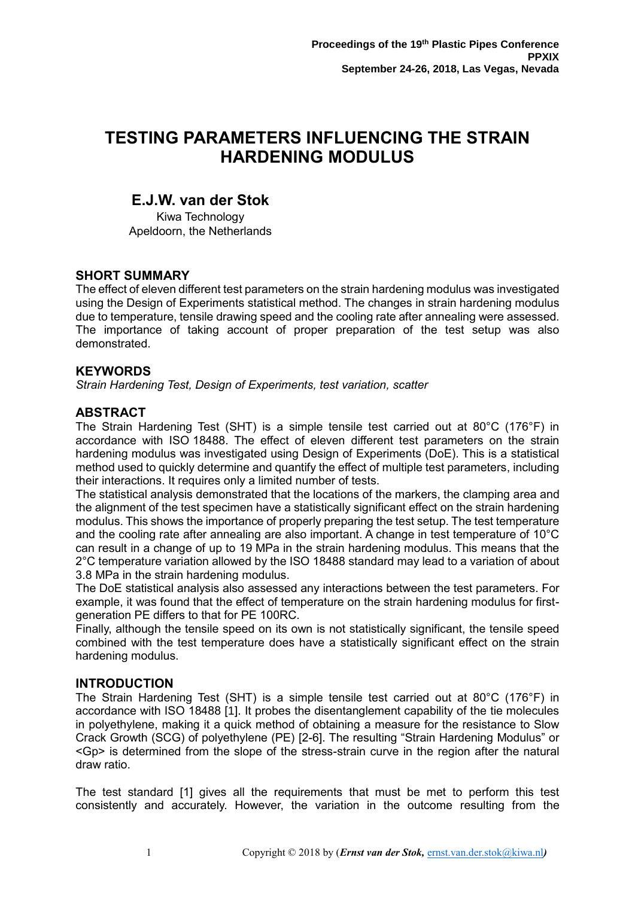# **TESTING PARAMETERS INFLUENCING THE STRAIN HARDENING MODULUS**

## **E.J.W. van der Stok**

Kiwa Technology Apeldoorn, the Netherlands

### **SHORT SUMMARY**

The effect of eleven different test parameters on the strain hardening modulus was investigated using the Design of Experiments statistical method. The changes in strain hardening modulus due to temperature, tensile drawing speed and the cooling rate after annealing were assessed. The importance of taking account of proper preparation of the test setup was also demonstrated.

### **KEYWORDS**

*Strain Hardening Test, Design of Experiments, test variation, scatter*

### **ABSTRACT**

The Strain Hardening Test (SHT) is a simple tensile test carried out at 80°C (176°F) in accordance with ISO 18488. The effect of eleven different test parameters on the strain hardening modulus was investigated using Design of Experiments (DoE). This is a statistical method used to quickly determine and quantify the effect of multiple test parameters, including their interactions. It requires only a limited number of tests.

The statistical analysis demonstrated that the locations of the markers, the clamping area and the alignment of the test specimen have a statistically significant effect on the strain hardening modulus. This shows the importance of properly preparing the test setup. The test temperature and the cooling rate after annealing are also important. A change in test temperature of 10°C can result in a change of up to 19 MPa in the strain hardening modulus. This means that the 2°C temperature variation allowed by the ISO 18488 standard may lead to a variation of about 3.8 MPa in the strain hardening modulus.

The DoE statistical analysis also assessed any interactions between the test parameters. For example, it was found that the effect of temperature on the strain hardening modulus for firstgeneration PE differs to that for PE 100RC.

Finally, although the tensile speed on its own is not statistically significant, the tensile speed combined with the test temperature does have a statistically significant effect on the strain hardening modulus.

### **INTRODUCTION**

<span id="page-0-2"></span>The Strain Hardening Test (SHT) is a simple tensile test carried out at 80°C (176°F) in accordance with ISO 18488 [1]. It probes the disentanglement capability of the tie molecules in polyethylene, making it a quick method of obtaining a measure for the resistance to Slow Crack Growth (SCG) of polyethylene (PE) [\[2](#page-0-0)[-6\]](#page-0-1). The resulting "Strain Hardening Modulus" or <Gp> is determined from the slope of the stress-strain curve in the region after the natural draw ratio. [2,3,4,5,6]

<span id="page-0-3"></span><span id="page-0-1"></span><span id="page-0-0"></span>The test standard [\[1\]](#page-0-2) gives all the requirements that must be met to perform this test consistently and accurately. However, the variation in the outcome resulting from the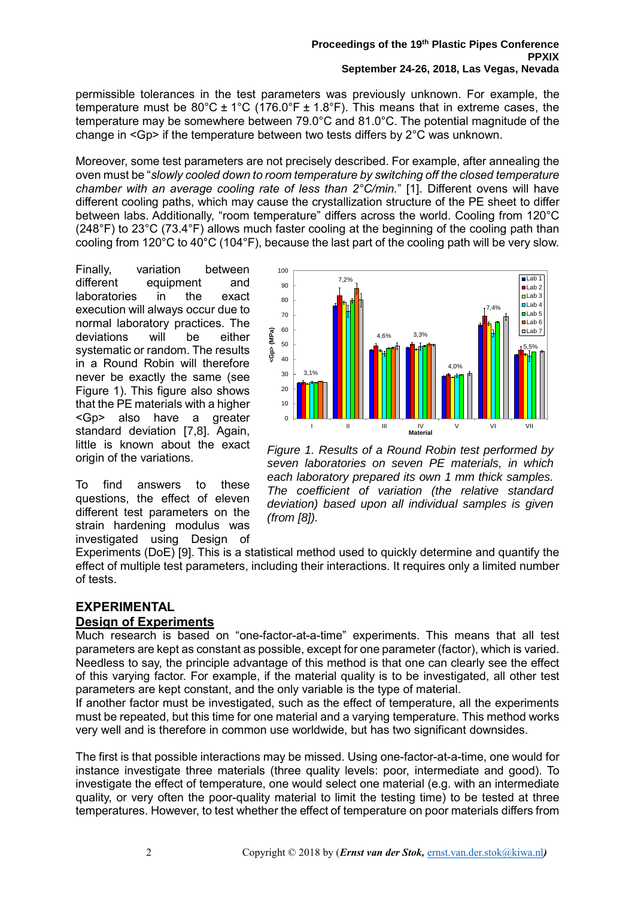#### **Proceedings of the 19th Plastic Pipes Conference PPXIX September 24-26, 2018, Las Vegas, Nevada**

permissible tolerances in the test parameters was previously unknown. For example, the temperature must be  $80^{\circ}$ C ± 1°C (176.0°F ± 1.8°F). This means that in extreme cases, the temperature may be somewhere between 79.0°C and 81.0°C. The potential magnitude of the change in  $\leq$ Gp> if the temperature between two tests differs by  $2^{\circ}$ C was unknown.

Moreover, some test parameters are not precisely described. For example, after annealing the oven must be "*slowly cooled down to room temperature by switching off the closed temperature chamber with an average cooling rate of less than 2°C/min.*" [\[1\]](#page-0-2). Different ovens will have different cooling paths, which may cause the crystallization structure of the PE sheet to differ between labs. Additionally, "room temperature" differs across the world. Cooling from 120°C (248°F) to 23°C (73.4°F) allows much faster cooling at the beginning of the cooling path than cooling from 120°C to 40°C (104°F), because the last part of the cooling path will be very slow.

Finally, variation between different equipment and laboratories in the exact execution will always occur due to normal laboratory practices. The deviations will be either systematic or random. The results in a Round Robin will therefore never be exactly the same (see [Figure 1\)](#page-1-0). This figure also shows that the PE materials with a higher <Gp> also have a greater standard deviation [7,8]. Again, little is known about the exact origin of the variations.

To find answers to these questions, the effect of eleven different test parameters on the strain hardening modulus was investigated using Design of



<span id="page-1-3"></span><span id="page-1-1"></span><span id="page-1-0"></span>*Figure 1. Results of a Round Robin test performed by seven laboratories on seven PE materials, in which each laboratory prepared its own 1 mm thick samples. The coefficient of variation (the relative standard deviation) based upon all individual samples is given (from [\[8\]](#page-1-1)).*

<span id="page-1-2"></span>Experiments (DoE) [9]. This is a statistical method used to quickly determine and quantify the effect of multiple test parameters, including their interactions. It requires only a limited number of tests.

### **EXPERIMENTAL Design of Experiments**

Much research is based on "one-factor-at-a-time" experiments. This means that all test parameters are kept as constant as possible, except for one parameter (factor), which is varied. Needless to say, the principle advantage of this method is that one can clearly see the effect of this varying factor. For example, if the material quality is to be investigated, all other test parameters are kept constant, and the only variable is the type of material.

If another factor must be investigated, such as the effect of temperature, all the experiments must be repeated, but this time for one material and a varying temperature. This method works very well and is therefore in common use worldwide, but has two significant downsides.

The first is that possible interactions may be missed. Using one-factor-at-a-time, one would for instance investigate three materials (three quality levels: poor, intermediate and good). To investigate the effect of temperature, one would select one material (e.g. with an intermediate quality, or very often the poor-quality material to limit the testing time) to be tested at three temperatures. However, to test whether the effect of temperature on poor materials differs from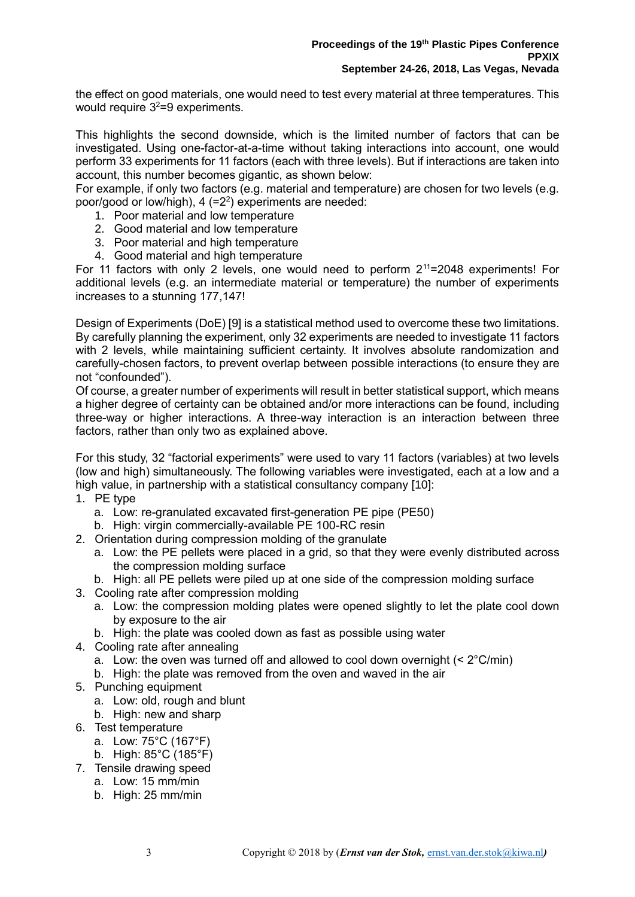the effect on good materials, one would need to test every material at three temperatures. This would require  $3^2$ =9 experiments.

This highlights the second downside, which is the limited number of factors that can be investigated. Using one-factor-at-a-time without taking interactions into account, one would perform 33 experiments for 11 factors (each with three levels). But if interactions are taken into account, this number becomes gigantic, as shown below:

For example, if only two factors (e.g. material and temperature) are chosen for two levels (e.g. poor/good or low/high), 4 (=2<sup>2</sup>) experiments are needed:

- 1. Poor material and low temperature
- 2. Good material and low temperature
- 3. Poor material and high temperature
- 4. Good material and high temperature

For 11 factors with only 2 levels, one would need to perform  $2^{11}$ =2048 experiments! For additional levels (e.g. an intermediate material or temperature) the number of experiments increases to a stunning 177,147!

Design of Experiments (DoE) [\[9\]](#page-1-2) is a statistical method used to overcome these two limitations. By carefully planning the experiment, only 32 experiments are needed to investigate 11 factors with 2 levels, while maintaining sufficient certainty. It involves absolute randomization and carefully-chosen factors, to prevent overlap between possible interactions (to ensure they are not "confounded").

Of course, a greater number of experiments will result in better statistical support, which means a higher degree of certainty can be obtained and/or more interactions can be found, including three-way or higher interactions. A three-way interaction is an interaction between three factors, rather than only two as explained above.

For this study, 32 "factorial experiments" were used to vary 11 factors (variables) at two levels (low and high) simultaneously. The following variables were investigated, each at a low and a high value, in partnership with a statistical consultancy company [10]:

- 1. PE type
	- a. Low: re-granulated excavated first-generation PE pipe (PE50)
	- b. High: virgin commercially-available PE 100-RC resin
- 2. Orientation during compression molding of the granulate
	- a. Low: the PE pellets were placed in a grid, so that they were evenly distributed across the compression molding surface
- b. High: all PE pellets were piled up at one side of the compression molding surface
- 3. Cooling rate after compression molding
	- a. Low: the compression molding plates were opened slightly to let the plate cool down by exposure to the air
	- b. High: the plate was cooled down as fast as possible using water
- 4. Cooling rate after annealing
	- a. Low: the oven was turned off and allowed to cool down overnight  $(< 2^{\circ}$ C/min)
	- b. High: the plate was removed from the oven and waved in the air
- 5. Punching equipment
	- a. Low: old, rough and blunt
	- b. High: new and sharp
- 6. Test temperature
	- a. Low: 75°C (167°F)
	- b. High: 85°C (185°F)
- 7. Tensile drawing speed
	- a. Low: 15 mm/min
	- b. High: 25 mm/min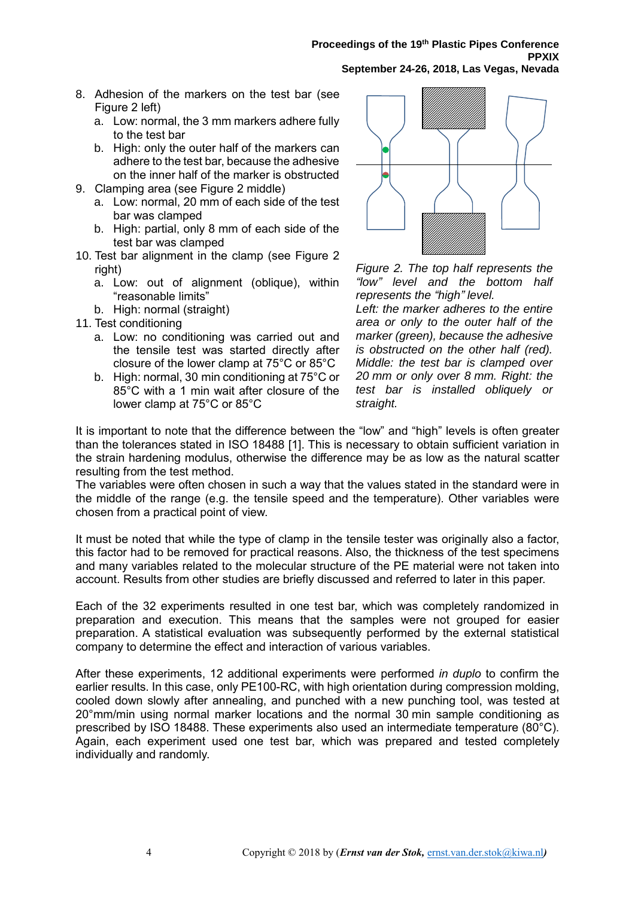#### **Proceedings of the 19th Plastic Pipes Conference PPXIX September 24-26, 2018, Las Vegas, Nevada**

- 8. Adhesion of the markers on the test bar (see [Figure 2](#page-3-0) left)
	- a. Low: normal, the 3 mm markers adhere fully to the test bar
	- b. High: only the outer half of the markers can adhere to the test bar, because the adhesive on the inner half of the marker is obstructed
- 9. Clamping area (see [Figure 2](#page-3-0) middle)
	- a. Low: normal, 20 mm of each side of the test bar was clamped
	- b. High: partial, only 8 mm of each side of the test bar was clamped
- 10. Test bar alignment in the clamp (see [Figure 2](#page-3-0) right)
	- a. Low: out of alignment (oblique), within "reasonable limits"
	- b. High: normal (straight)
- 11. Test conditioning
	- a. Low: no conditioning was carried out and the tensile test was started directly after closure of the lower clamp at 75°C or 85°C
	- b. High: normal, 30 min conditioning at 75°C or 85°C with a 1 min wait after closure of the lower clamp at 75°C or 85°C



<span id="page-3-0"></span>*Figure 2. The top half represents the "low" level and the bottom half represents the "high" level.*

*Left: the marker adheres to the entire area or only to the outer half of the marker (green), because the adhesive is obstructed on the other half (red). Middle: the test bar is clamped over 20 mm or only over 8 mm. Right: the test bar is installed obliquely or straight.*

It is important to note that the difference between the "low" and "high" levels is often greater than the tolerances stated in ISO 18488 [\[1\]](#page-0-2). This is necessary to obtain sufficient variation in the strain hardening modulus, otherwise the difference may be as low as the natural scatter resulting from the test method.

The variables were often chosen in such a way that the values stated in the standard were in the middle of the range (e.g. the tensile speed and the temperature). Other variables were chosen from a practical point of view.

It must be noted that while the type of clamp in the tensile tester was originally also a factor, this factor had to be removed for practical reasons. Also, the thickness of the test specimens and many variables related to the molecular structure of the PE material were not taken into account. Results from other studies are briefly discussed and referred to later in this paper.

Each of the 32 experiments resulted in one test bar, which was completely randomized in preparation and execution. This means that the samples were not grouped for easier preparation. A statistical evaluation was subsequently performed by the external statistical company to determine the effect and interaction of various variables.

After these experiments, 12 additional experiments were performed *in duplo* to confirm the earlier results. In this case, only PE100-RC, with high orientation during compression molding, cooled down slowly after annealing, and punched with a new punching tool, was tested at 20°mm/min using normal marker locations and the normal 30 min sample conditioning as prescribed by ISO 18488. These experiments also used an intermediate temperature (80°C). Again, each experiment used one test bar, which was prepared and tested completely individually and randomly.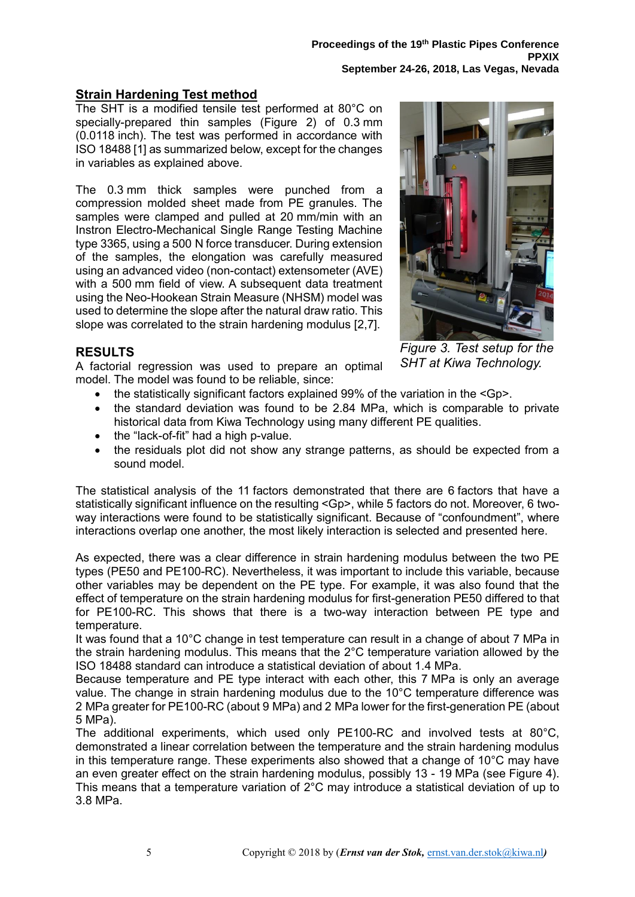### **Strain Hardening Test method**

The SHT is a modified tensile test performed at 80°C on specially-prepared thin samples [\(Figure 2\)](#page-3-0) of 0.3 mm (0.0118 inch). The test was performed in accordance with ISO 18488 [\[1\]](#page-0-2) as summarized below, except for the changes in variables as explained above.

The 0.3 mm thick samples were punched from a compression molded sheet made from PE granules. The samples were clamped and pulled at 20 mm/min with an Instron Electro-Mechanical Single Range Testing Machine type 3365, using a 500 N force transducer. During extension of the samples, the elongation was carefully measured using an advanced video (non-contact) extensometer (AVE) with a 500 mm field of view. A subsequent data treatment using the Neo-Hookean Strain Measure (NHSM) model was used to determine the slope after the natural draw ratio. This slope was correlated to the strain hardening modulus [\[2](#page-0-3)[,7\]](#page-1-3).



### **RESULTS**

A factorial regression was used to prepare an optimal model. The model was found to be reliable, since:

*Figure 3. Test setup for the SHT at Kiwa Technology.*

- the statistically significant factors explained 99% of the variation in the  $\langle$ Gp>.
- the standard deviation was found to be 2.84 MPa, which is comparable to private historical data from Kiwa Technology using many different PE qualities.
- the "lack-of-fit" had a high p-value.
- the residuals plot did not show any strange patterns, as should be expected from a sound model.

The statistical analysis of the 11 factors demonstrated that there are 6 factors that have a statistically significant influence on the resulting <Gp>, while 5 factors do not. Moreover, 6 twoway interactions were found to be statistically significant. Because of "confoundment", where interactions overlap one another, the most likely interaction is selected and presented here.

As expected, there was a clear difference in strain hardening modulus between the two PE types (PE50 and PE100-RC). Nevertheless, it was important to include this variable, because other variables may be dependent on the PE type. For example, it was also found that the effect of temperature on the strain hardening modulus for first-generation PE50 differed to that for PE100-RC. This shows that there is a two-way interaction between PE type and temperature.

It was found that a 10°C change in test temperature can result in a change of about 7 MPa in the strain hardening modulus. This means that the 2°C temperature variation allowed by the ISO 18488 standard can introduce a statistical deviation of about 1.4 MPa.

Because temperature and PE type interact with each other, this 7 MPa is only an average value. The change in strain hardening modulus due to the 10°C temperature difference was 2 MPa greater for PE100-RC (about 9 MPa) and 2 MPa lower for the first-generation PE (about 5 MPa).

The additional experiments, which used only PE100-RC and involved tests at 80°C, demonstrated a linear correlation between the temperature and the strain hardening modulus in this temperature range. These experiments also showed that a change of 10°C may have an even greater effect on the strain hardening modulus, possibly 13 - 19 MPa (see [Figure 4\)](#page-5-0). This means that a temperature variation of 2°C may introduce a statistical deviation of up to 3.8 MPa.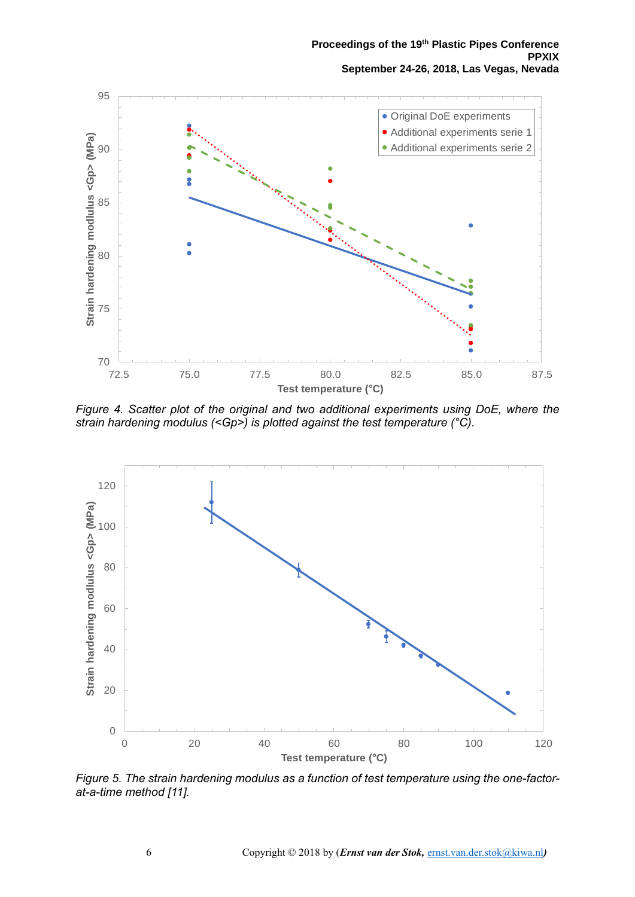#### **Proceedings of the 19th Plastic Pipes Conference PPXIX September 24-26, 2018, Las Vegas, Nevada**



<span id="page-5-0"></span>*Figure 4. Scatter plot of the original and two additional experiments using DoE, where the strain hardening modulus (<Gp>) is plotted against the test temperature (°C).*



<span id="page-5-1"></span>*Figure 5. The strain hardening modulus as a function of test temperature using the one-factorat-a-time method [\[11\]](#page-6-0).*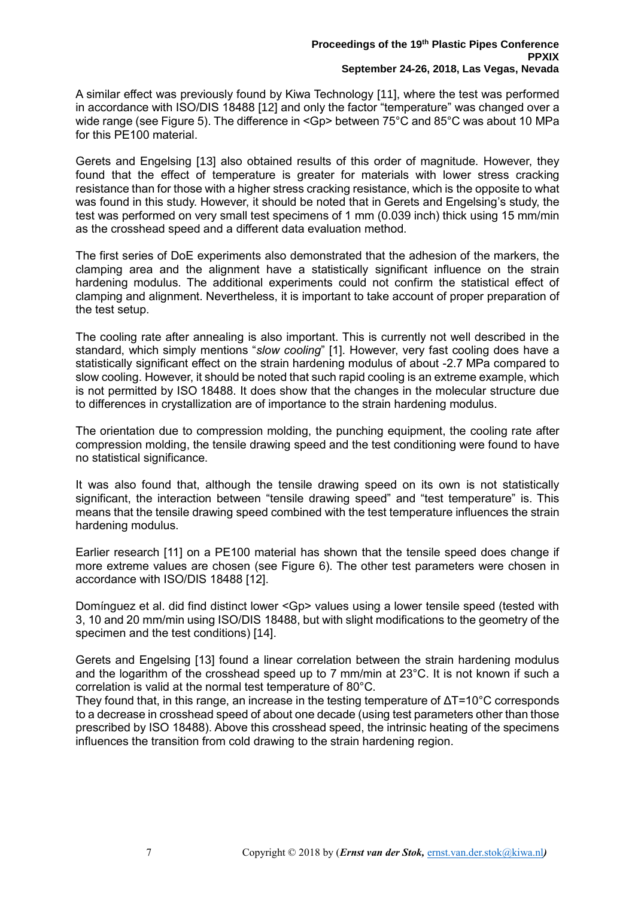<span id="page-6-1"></span><span id="page-6-0"></span>A similar effect was previously found by Kiwa Technology [11], where the test was performed in accordance with ISO/DIS 18488 [12] and only the factor "temperature" was changed over a wide range (see [Figure 5\)](#page-5-1). The difference in <Gp> between 75°C and 85°C was about 10 MPa for this PE100 material.

<span id="page-6-2"></span>Gerets and Engelsing [13] also obtained results of this order of magnitude. However, they found that the effect of temperature is greater for materials with lower stress cracking resistance than for those with a higher stress cracking resistance, which is the opposite to what was found in this study. However, it should be noted that in Gerets and Engelsing's study, the test was performed on very small test specimens of 1 mm (0.039 inch) thick using 15 mm/min as the crosshead speed and a different data evaluation method.

The first series of DoE experiments also demonstrated that the adhesion of the markers, the clamping area and the alignment have a statistically significant influence on the strain hardening modulus. The additional experiments could not confirm the statistical effect of clamping and alignment. Nevertheless, it is important to take account of proper preparation of the test setup.

The cooling rate after annealing is also important. This is currently not well described in the standard, which simply mentions "*slow cooling*" [\[1\]](#page-0-2). However, very fast cooling does have a statistically significant effect on the strain hardening modulus of about -2.7 MPa compared to slow cooling. However, it should be noted that such rapid cooling is an extreme example, which is not permitted by ISO 18488. It does show that the changes in the molecular structure due to differences in crystallization are of importance to the strain hardening modulus.

The orientation due to compression molding, the punching equipment, the cooling rate after compression molding, the tensile drawing speed and the test conditioning were found to have no statistical significance.

It was also found that, although the tensile drawing speed on its own is not statistically significant, the interaction between "tensile drawing speed" and "test temperature" is. This means that the tensile drawing speed combined with the test temperature influences the strain hardening modulus.

Earlier research [\[11\]](#page-6-0) on a PE100 material has shown that the tensile speed does change if more extreme values are chosen (see [Figure 6\)](#page-7-0). The other test parameters were chosen in accordance with ISO/DIS 18488 [\[12\]](#page-6-1).

<span id="page-6-3"></span>Domínguez et al. did find distinct lower <Gp> values using a lower tensile speed (tested with 3, 10 and 20 mm/min using ISO/DIS 18488, but with slight modifications to the geometry of the specimen and the test conditions) [14].

Gerets and Engelsing [\[13\]](#page-6-2) found a linear correlation between the strain hardening modulus and the logarithm of the crosshead speed up to 7 mm/min at 23°C. It is not known if such a correlation is valid at the normal test temperature of 80°C.

They found that, in this range, an increase in the testing temperature of ΔT=10°C corresponds to a decrease in crosshead speed of about one decade (using test parameters other than those prescribed by ISO 18488). Above this crosshead speed, the intrinsic heating of the specimens influences the transition from cold drawing to the strain hardening region.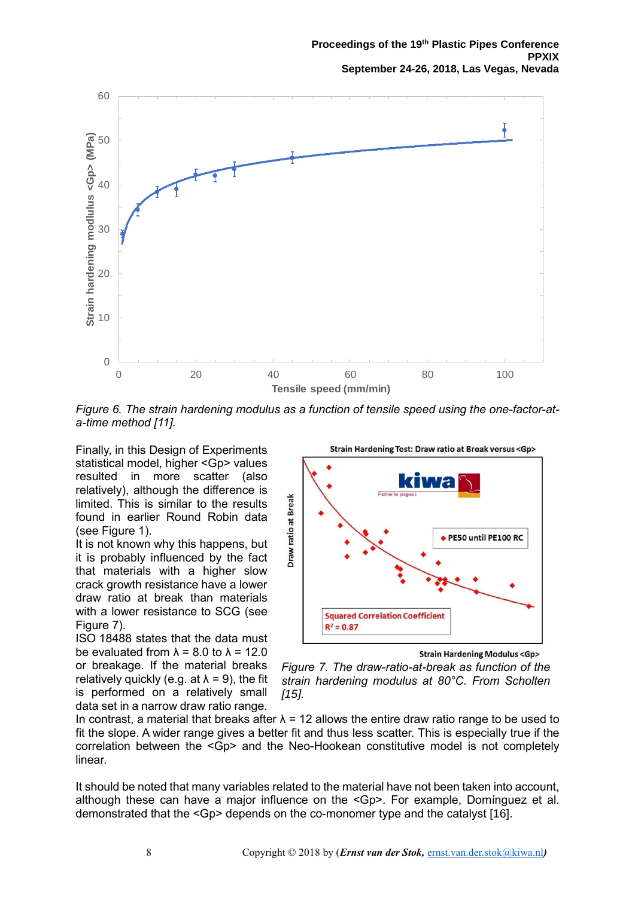

<span id="page-7-0"></span>*Figure 6. The strain hardening modulus as a function of tensile speed using the one-factor-ata-time method [\[11\]](#page-6-0).*

Finally, in this Design of Experiments statistical model, higher <Gp> values resulted in more scatter (also relatively), although the difference is limited. This is similar to the results found in earlier Round Robin data (see [Figure 1\)](#page-1-0).

It is not known why this happens, but it is probably influenced by the fact that materials with a higher slow crack growth resistance have a lower draw ratio at break than materials with a lower resistance to SCG (see [Figure 7\)](#page-7-1).

ISO 18488 states that the data must be evaluated from  $\lambda = 8.0$  to  $\lambda = 12.0$ or breakage. If the material breaks relatively quickly (e.g. at  $\lambda = 9$ ), the fit is performed on a relatively small data set in a narrow draw ratio range.



**Strain Hardening Modulus <Gp>** 

<span id="page-7-1"></span>*Figure 7. The draw-ratio-at-break as function of the strain hardening modulus at 80°C. From Scholten [15].*

In contrast, a material that breaks after  $\lambda$  = 12 allows the entire draw ratio range to be used to fit the slope. A wider range gives a better fit and thus less scatter. This is especially true if the correlation between the <Gp> and the Neo-Hookean constitutive model is not completely linear.

It should be noted that many variables related to the material have not been taken into account, although these can have a major influence on the <Gp>. For example, Domínguez et al. demonstrated that the <Gp> depends on the co-monomer type and the catalyst [16].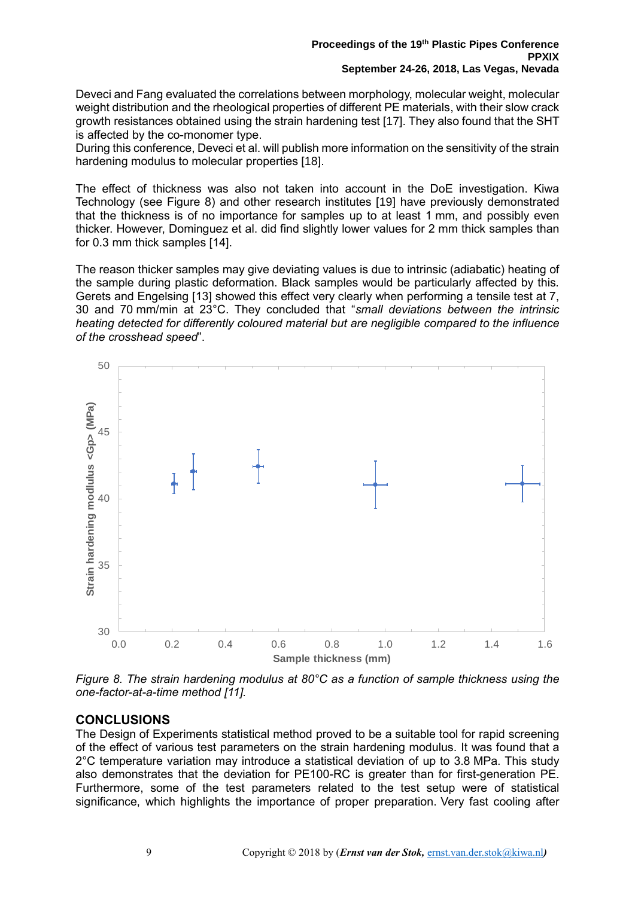Deveci and Fang evaluated the correlations between morphology, molecular weight, molecular weight distribution and the rheological properties of different PE materials, with their slow crack growth resistances obtained using the strain hardening test [17]. They also found that the SHT is affected by the co-monomer type.

During this conference, Deveci et al. will publish more information on the sensitivity of the strain hardening modulus to molecular properties [18].

The effect of thickness was also not taken into account in the DoE investigation. Kiwa Technology (see [Figure 8\)](#page-8-0) and other research institutes [19] have previously demonstrated that the thickness is of no importance for samples up to at least 1 mm, and possibly even thicker. However, Dominguez et al. did find slightly lower values for 2 mm thick samples than for 0.3 mm thick samples [\[14\]](#page-6-3).

The reason thicker samples may give deviating values is due to intrinsic (adiabatic) heating of the sample during plastic deformation. Black samples would be particularly affected by this. Gerets and Engelsing [\[13\]](#page-6-2) showed this effect very clearly when performing a tensile test at 7, 30 and 70 mm/min at 23°C. They concluded that "*small deviations between the intrinsic heating detected for differently coloured material but are negligible compared to the influence of the crosshead speed*".



<span id="page-8-0"></span>*Figure 8. The strain hardening modulus at 80°C as a function of sample thickness using the one-factor-at-a-time method [\[11\]](#page-6-0).*

### **CONCLUSIONS**

The Design of Experiments statistical method proved to be a suitable tool for rapid screening of the effect of various test parameters on the strain hardening modulus. It was found that a 2°C temperature variation may introduce a statistical deviation of up to 3.8 MPa. This study also demonstrates that the deviation for PE100-RC is greater than for first-generation PE. Furthermore, some of the test parameters related to the test setup were of statistical significance, which highlights the importance of proper preparation. Very fast cooling after